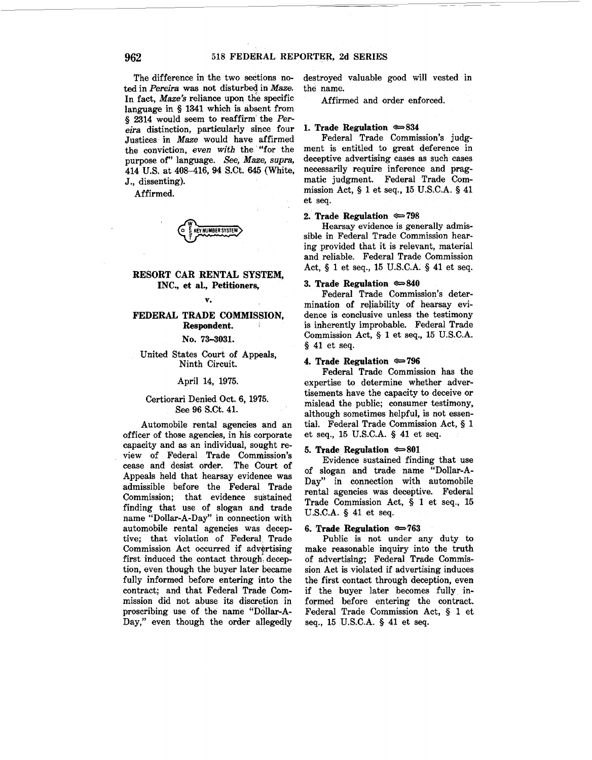The difference in the two sections noted in *Pereira* was not disturbed in *Maze.*  In fact, *Maze's* reliance upon the specific language in § 1341 which is absent from § 2314 would seem to reaffirm the *Pereira* distinction, particularly since four Justices in *Maze* would have affirmed the conviction, *even with* the '"for the purpose of" language. *See, Maze, supra,*  414 U.S. at 408-416, 94 S.Ct. 645 (White, J., dissenting).

Affirmed.



# **RESORT CAR RENTAL SYSTEM, INC., et al., Petitioners,**

#### **v.**

## **FEDERAL TRADE COMMISSION, Respondent.**

**No. 73--3031.** 

#### United States Court of Appeals, Ninth Circuit.

#### April 14, 1975.

#### Certiorari Denied Oct. 6, 1975. See 96 S.Ct. 41.

Automobile rental agencies and an officer of those agencies, in his corporate capacity and as an individual, sought review of Federal Trade Commission's cease and desist order. The Court of Appeals held that hearsay evidence was admissible before the Federal Trade Commission; that evidence sustained finding that use of slogan and trade name "Dollar-A-Day" in connection with automobile rental agencies was deceptive; that violation of Federal. Trade Commission Act occurred if advertising first induced the contact through, deception, even though the buyer later became fully informed before entering into the contract; and that Federal Trade Commission did not abuse its discretion in proscribing use of the name "Dollar-A-Day," even though the order allegedly

destroyed valuable good will vested in the name.

Affirmed and order enforced.

#### **1. Trade Regulation**  $\approx 834$

Federal Trade Commission's judgment is entitled to great deference in deceptive advertising cases as such cases necessarily require inference and pragmatic judgment. Federal Trade Commission Act, § 1 et seq., 15 U.S.C.A. § 41 et seq.

#### **2. Trade Regulation**  $\approx 798$

Hearsay evidence is generally admissible in Federal Trade Commission hearing provided that it is relevant, material and reliable. Federal Trade Commission Act, § 1 et seq., 15 U.S.C.A. § 41 et seq.

# 3. Trade Regulation  $\approx 840$

Federal Trade Commission's determination of reliability of hearsay evidence is conclusive unless the testimony is inherently improbable. Federal Trade Commission Act, § 1 et seq., 15 U.S.C.A. § 41 et seq.

#### **4. Trade Regulation**  $\approx 796$

Federal Trade Commission has the expertise to determine whether advertisements have the capacity to deceive or mislead the public; consumer testimony, although sometimes helpful, is not essential. Federal Trade Commission Act, § 1 et seq., 15 U.S.C.A. § 41 et seq.

#### 5. Trade Regulation  $\approx 801$

Evidence sustained finding that use of slogan and trade name "Dollar-A-Day" in connection with automobile rental agencies was deceptive. Federal Trade Commission Act, § 1 et seq., 15 U.S.C.A. § 41 et seq.

#### 6. **Trade Regulation**  $\approx 763$

Public is not under any duty to make reasonable inquiry into the truth of advertising; Federal Trade Commission Act is violated if advertising induces the first contact through deception, even if the buyer later becomes fu11y informed before entering the contract. Federal Trade Commission Act, § 1 et seq., 15 U.S.C.A. § 41 et seq.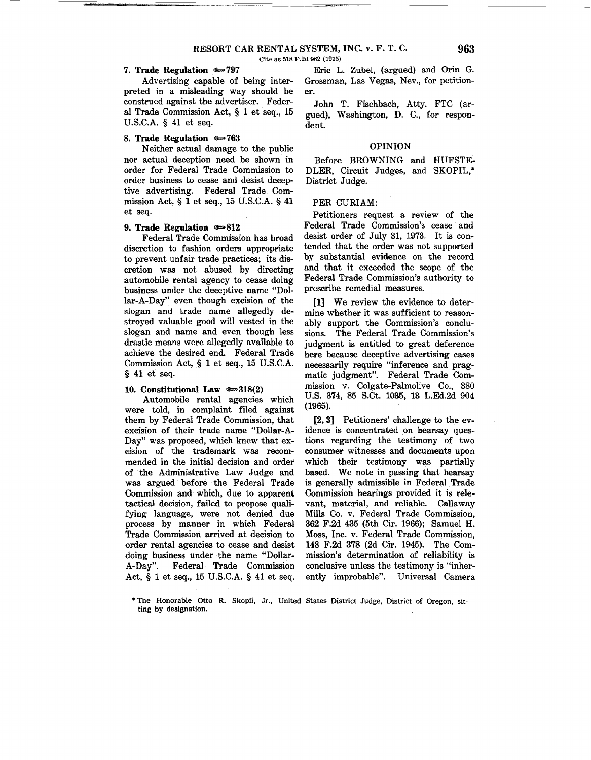#### 7. Trade Regulation  $\approx 797$

Advertising capable of being interpreted in a misleading way should be construed against the advertiser. Federal Trade Commission Act, § 1 et seq., 15 U.S.C.A. § 41 et seq.

#### **8. Trade Regulation <3=763**

Neither actual damage to the public nor actual deception need be shown in order for Federal Trade Commission to order business to cease and desist deceptive advertising. Federal Trade Commission Act,§ 1 et seq., 15 U.S.C.A. § 41 et seq.

## **9. Trade Regulation**  $\approx 812$

Federal Trade Commission has broad discretion to fashion orders appropriate to prevent unfair trade practices; its discretion was not abused by directing automobile rental agency to cease doing business under the deceptive name "Dollar-A-Day" even though excision of the slogan and trade name allegedly destroyed valuable good will vested in the slogan and name and even though less drastic means were allegedly available to achieve the desired end. Federal Trade Commission Act, § 1 et seq., 15 U.S.C.A. § 41 et seq.

#### 10. Constitutional Law  $\approx 318(2)$

Automobile rental agencies which were told, in complaint filed against them by Federal Trade Commission, that excision of their trade name "Dollar-A-Day" was proposed, which knew that excision of the trademark was recommended in the initial decision and order of the Administrative Law Judge and was argued before the Federal Trade Commission and which, due to apparent tactical decision, failed to propose qualifying language, were not denied due process by manner in which Federal Trade Commission arrived at decision to order rental agencies to cease and desist doing business under the name "Dollar-A-Day". Federal Trade Commission Act, § 1 et seq., 15 U.S.C.A. § 41 et seq.

Eric L. Zubel, (argued) and Orin G. Grossman, Las Vegas, Nev., for petitioner.

John T. Fischbach, Atty. FTC (argued), Washington, D. C., for respondent.

#### OPINION

Before BROWNING and HUFSTE-DLER, Circuit Judges, and SKOPIL,\* District Judge.

## PER CURIAM:

Petitioners request a review of the Federal Trade Commission's cease and desist order of July 31, 1973. It is contended that the order was not supported by substantial evidence on the record and that it exceeded the scope of the Federal Trade Commission's authority to prescribe remedial measures.

[1] We review the evidence to determine whether it was sufficient to reasonably support the Commission's conclusions. The Federal Trade Commission's judgment is entitled to great deference here because deceptive advertising cases necessarily require "inference and pragmatic judgment". Federal Trade Commission v. Colgate-Palmolive Co., 380 U.S. 374, 85 S.Ct. 1085, 18 L.Ed.2d 904 (1965).

[2, 3] Petitioners' challenge to the evidence is concentrated on hearsay questions regarding the testimony of two consumer witnesses and documents upon which their testimony was partially based. We note in passing that hearsay is generally admissible in Federal Trade Commission hearings provided it is relevant, material, and reliable. Callaway Mills Co. v. Federal Trade Commission, 862 F.2d 435 (5th Cir. 1966); Samuel H. Moss, Inc. v. Federal Trade Commission, 148 F.2d 878 (2d Cir. 1945). The Commission's determination of reliability is conclusive unless the testimony is "inherently improbable". Universal Camera

<sup>\*</sup>The Honorable Otto R. Skopil, Jr., United States District Judge, District of Oregon, sitting by designation.